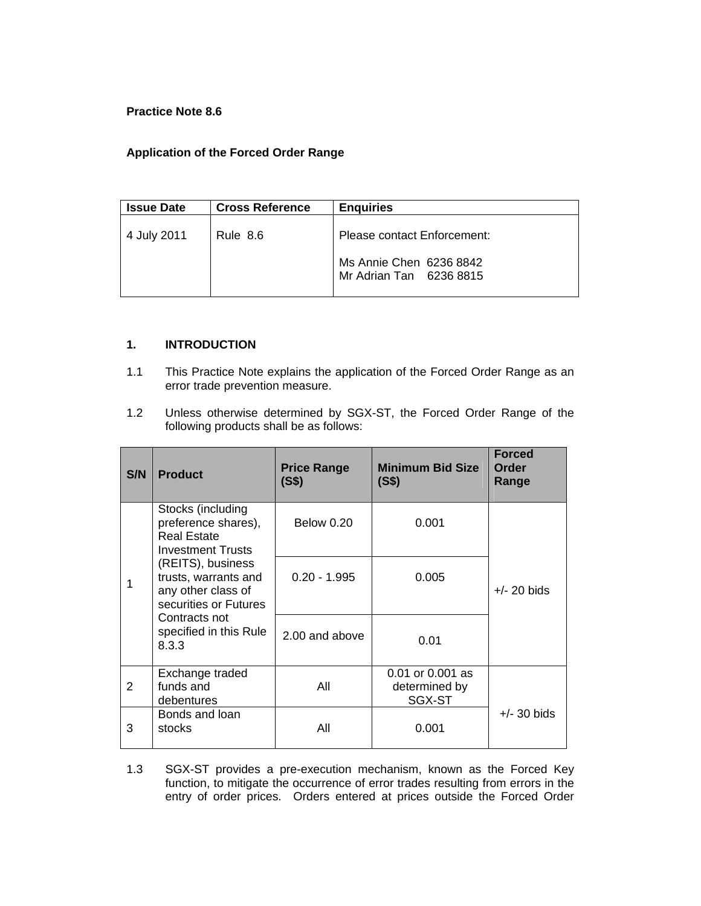## **Practice Note 8.6**

## **Application of the Forced Order Range**

| <b>Issue Date</b> | <b>Cross Reference</b> | <b>Enquiries</b>                                   |  |
|-------------------|------------------------|----------------------------------------------------|--|
| 4 July 2011       | Rule 8.6               | Please contact Enforcement:                        |  |
|                   |                        | Ms Annie Chen 6236 8842<br>Mr Adrian Tan 6236 8815 |  |

## **1. INTRODUCTION**

- 1.1 This Practice Note explains the application of the Forced Order Range as an error trade prevention measure.
- 1.2 Unless otherwise determined by SGX-ST, the Forced Order Range of the following products shall be as follows:

| S/N | <b>Product</b>                                                                                                                               | <b>Price Range</b><br>(S\$) | <b>Minimum Bid Size</b><br>(S\$)            | <b>Forced</b><br>Order<br>Range |
|-----|----------------------------------------------------------------------------------------------------------------------------------------------|-----------------------------|---------------------------------------------|---------------------------------|
|     | Stocks (including<br>preference shares),<br>Real Estate<br><b>Investment Trusts</b>                                                          | <b>Below 0.20</b>           | 0.001                                       |                                 |
|     | (REITS), business<br>trusts, warrants and<br>any other class of<br>securities or Futures<br>Contracts not<br>specified in this Rule<br>8.3.3 | $0.20 - 1.995$              | 0.005                                       | $+/- 20$ bids                   |
|     |                                                                                                                                              | 2.00 and above              | 0.01                                        |                                 |
| 2   | Exchange traded<br>funds and<br>debentures                                                                                                   | All                         | 0.01 or 0.001 as<br>determined by<br>SGX-ST |                                 |
| 3   | Bonds and loan<br>stocks                                                                                                                     | All                         | 0.001                                       | $+/-$ 30 bids                   |

1.3 SGX-ST provides a pre-execution mechanism, known as the Forced Key function, to mitigate the occurrence of error trades resulting from errors in the entry of order prices. Orders entered at prices outside the Forced Order